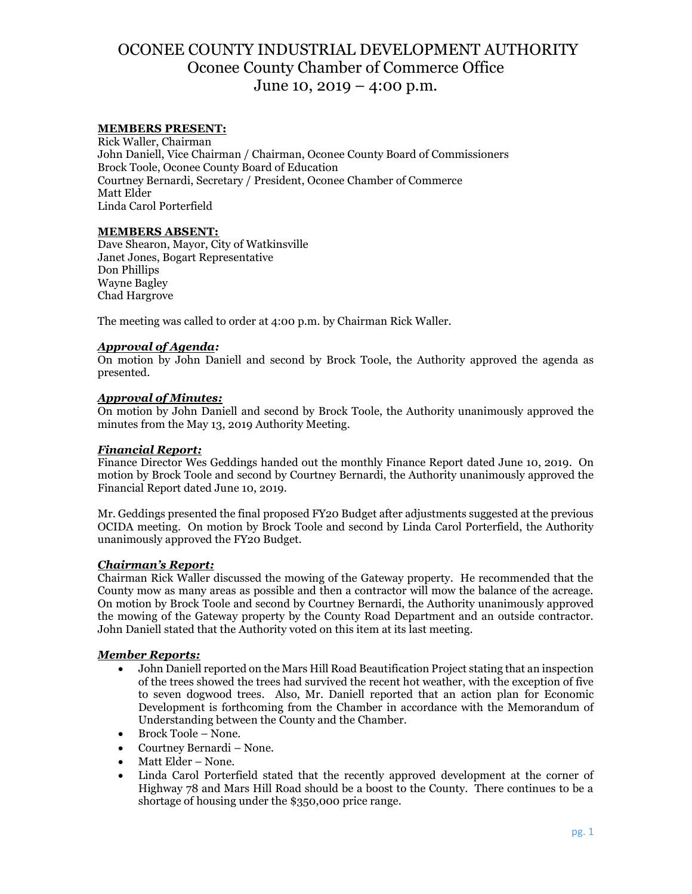# OCONEE COUNTY INDUSTRIAL DEVELOPMENT AUTHORITY Oconee County Chamber of Commerce Office June 10, 2019 – 4:00 p.m.

## **MEMBERS PRESENT:**

Rick Waller, Chairman John Daniell, Vice Chairman / Chairman, Oconee County Board of Commissioners Brock Toole, Oconee County Board of Education Courtney Bernardi, Secretary / President, Oconee Chamber of Commerce Matt Elder Linda Carol Porterfield

## **MEMBERS ABSENT:**

Dave Shearon, Mayor, City of Watkinsville Janet Jones, Bogart Representative Don Phillips Wayne Bagley Chad Hargrove

The meeting was called to order at 4:00 p.m. by Chairman Rick Waller.

## *Approval of Agenda:*

On motion by John Daniell and second by Brock Toole, the Authority approved the agenda as presented.

## *Approval of Minutes:*

On motion by John Daniell and second by Brock Toole, the Authority unanimously approved the minutes from the May 13, 2019 Authority Meeting.

#### *Financial Report:*

Finance Director Wes Geddings handed out the monthly Finance Report dated June 10, 2019. On motion by Brock Toole and second by Courtney Bernardi, the Authority unanimously approved the Financial Report dated June 10, 2019.

Mr. Geddings presented the final proposed FY20 Budget after adjustments suggested at the previous OCIDA meeting. On motion by Brock Toole and second by Linda Carol Porterfield, the Authority unanimously approved the FY20 Budget.

#### *Chairman's Report:*

Chairman Rick Waller discussed the mowing of the Gateway property. He recommended that the County mow as many areas as possible and then a contractor will mow the balance of the acreage. On motion by Brock Toole and second by Courtney Bernardi, the Authority unanimously approved the mowing of the Gateway property by the County Road Department and an outside contractor. John Daniell stated that the Authority voted on this item at its last meeting.

#### *Member Reports:*

- John Daniell reported on the Mars Hill Road Beautification Project stating that an inspection of the trees showed the trees had survived the recent hot weather, with the exception of five to seven dogwood trees. Also, Mr. Daniell reported that an action plan for Economic Development is forthcoming from the Chamber in accordance with the Memorandum of Understanding between the County and the Chamber.
- Brock Toole None.
- Courtney Bernardi None.
- Matt Elder None.
- Linda Carol Porterfield stated that the recently approved development at the corner of Highway 78 and Mars Hill Road should be a boost to the County. There continues to be a shortage of housing under the \$350,000 price range.